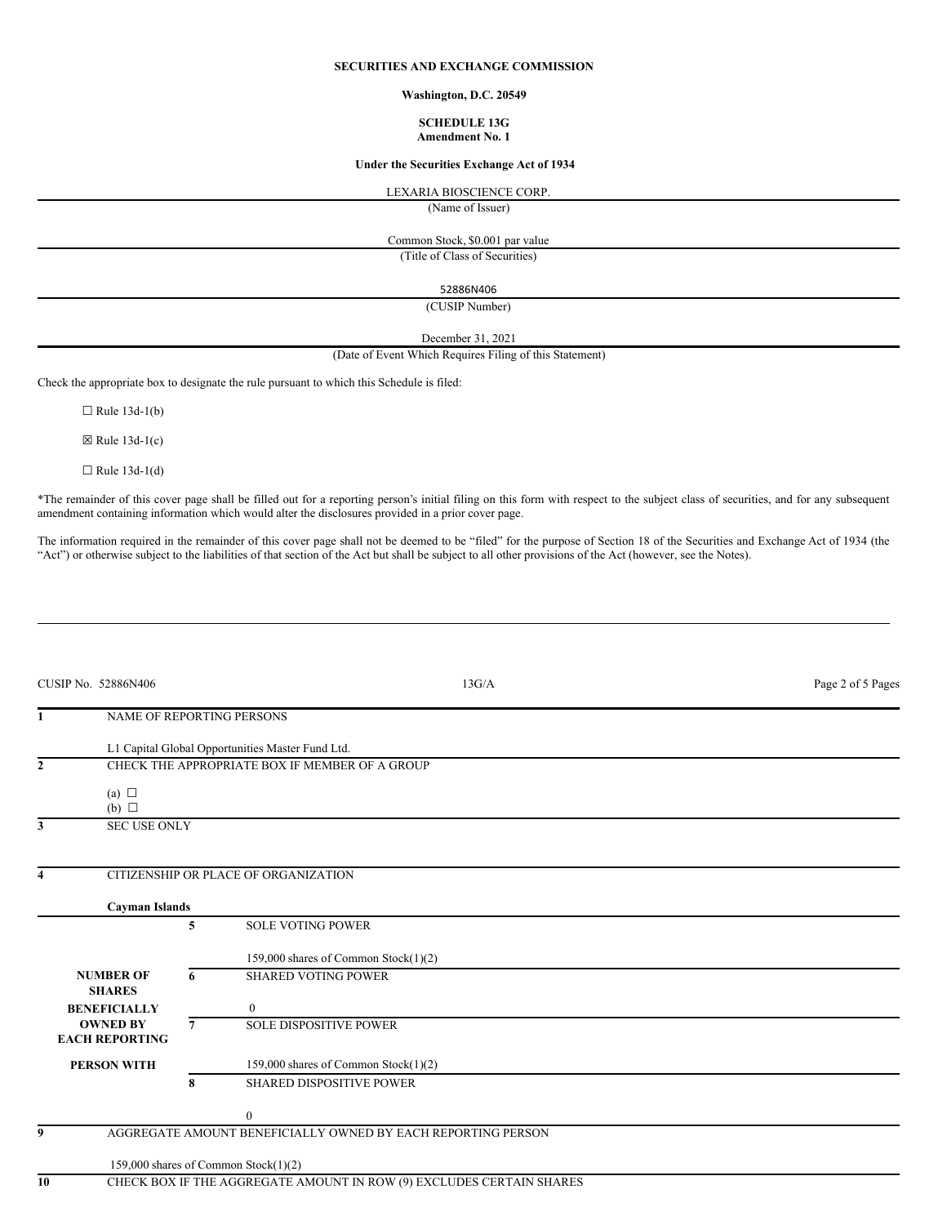# **SECURITIES AND EXCHANGE COMMISSION**

**Washington, D.C. 20549**

#### **SCHEDULE 13G Amendment No. 1**

### **Under the Securities Exchange Act of 1934**

LEXARIA BIOSCIENCE CORP.

(Name of Issuer)

Common Stock, \$0.001 par value

(Title of Class of Securities)

52886N406

(CUSIP Number)

December 31, 2021

(Date of Event Which Requires Filing of this Statement)

Check the appropriate box to designate the rule pursuant to which this Schedule is filed:

 $\Box$  Rule 13d-1(b)

 $\boxtimes$  Rule 13d-1(c)

 $\Box$  Rule 13d-1(d)

\*The remainder of this cover page shall be filled out for a reporting person's initial filing on this form with respect to the subject class of securities, and for any subsequent amendment containing information which would alter the disclosures provided in a prior cover page.

The information required in the remainder of this cover page shall not be deemed to be "filed" for the purpose of Section 18 of the Securities and Exchange Act of 1934 (the "Act") or otherwise subject to the liabilities of that section of the Act but shall be subject to all other provisions of the Act (however, see the Notes).

|              | CUSIP No. 52886N406                      |   |                                                                      | 13G/A | Page 2 of 5 Pages |
|--------------|------------------------------------------|---|----------------------------------------------------------------------|-------|-------------------|
| 1            | NAME OF REPORTING PERSONS                |   |                                                                      |       |                   |
|              |                                          |   | L1 Capital Global Opportunities Master Fund Ltd.                     |       |                   |
| $\mathbf{2}$ |                                          |   | CHECK THE APPROPRIATE BOX IF MEMBER OF A GROUP                       |       |                   |
|              | (a) $\Box$<br>$(b)$ $\square$            |   |                                                                      |       |                   |
| 3            | <b>SEC USE ONLY</b>                      |   |                                                                      |       |                   |
| 4            |                                          |   | CITIZENSHIP OR PLACE OF ORGANIZATION                                 |       |                   |
|              | <b>Cayman Islands</b>                    |   |                                                                      |       |                   |
|              |                                          | 5 | <b>SOLE VOTING POWER</b>                                             |       |                   |
|              |                                          |   | 159,000 shares of Common Stock(1)(2)                                 |       |                   |
|              | <b>NUMBER OF</b><br><b>SHARES</b>        | 6 | <b>SHARED VOTING POWER</b>                                           |       |                   |
|              | <b>BENEFICIALLY</b>                      |   | $\mathbf{0}$                                                         |       |                   |
|              | <b>OWNED BY</b><br><b>EACH REPORTING</b> | 7 | <b>SOLE DISPOSITIVE POWER</b>                                        |       |                   |
|              | <b>PERSON WITH</b>                       |   | 159,000 shares of Common Stock(1)(2)                                 |       |                   |
|              |                                          | 8 | <b>SHARED DISPOSITIVE POWER</b>                                      |       |                   |
|              |                                          |   | $\mathbf{0}$                                                         |       |                   |
| 9            |                                          |   | AGGREGATE AMOUNT BENEFICIALLY OWNED BY EACH REPORTING PERSON         |       |                   |
|              |                                          |   | 159,000 shares of Common Stock(1)(2)                                 |       |                   |
| 10           |                                          |   | CHECK BOX IF THE AGGREGATE AMOUNT IN ROW (9) EXCLUDES CERTAIN SHARES |       |                   |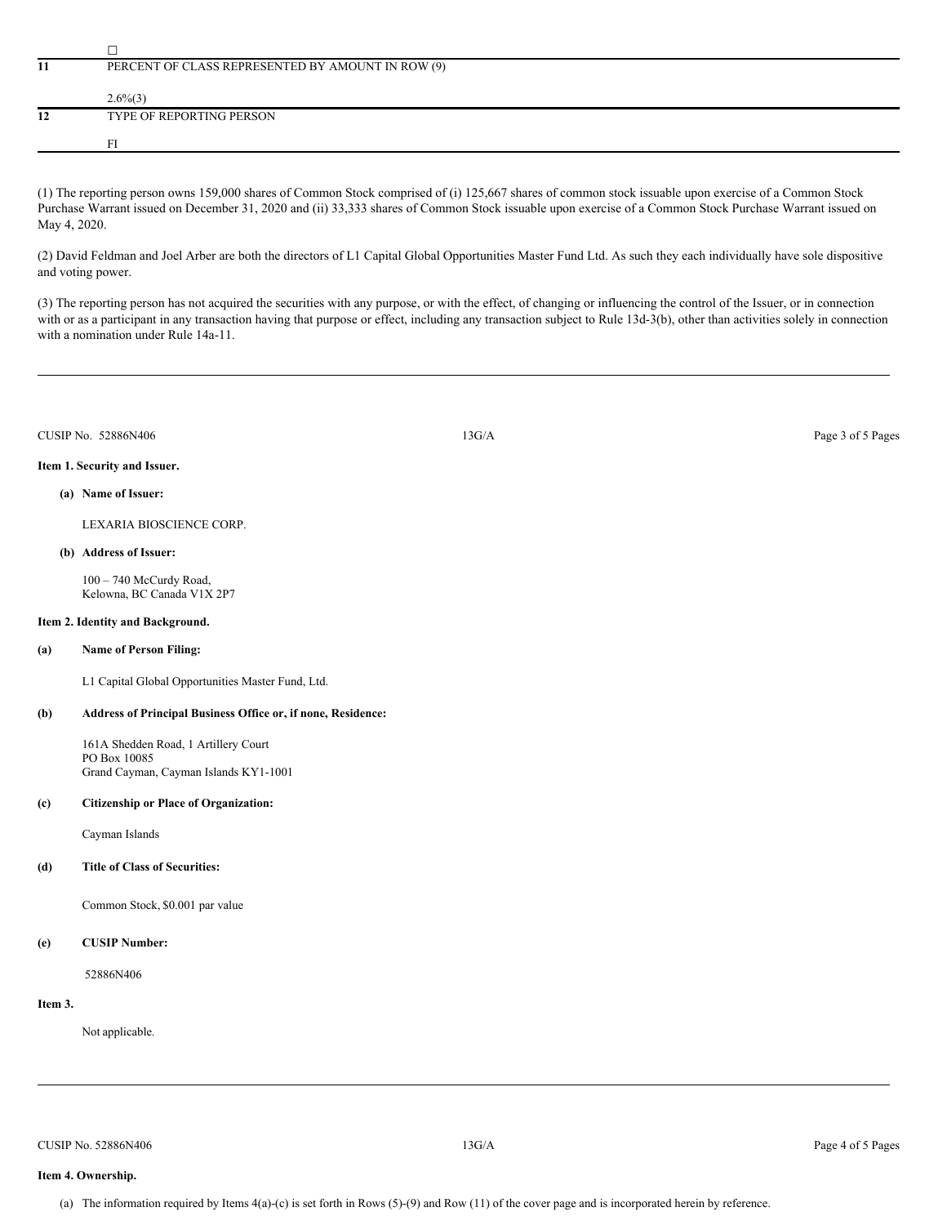|    | PERCENT OF CLASS REPRESENTED BY AMOUNT IN ROW (9) |  |  |  |  |  |
|----|---------------------------------------------------|--|--|--|--|--|
|    |                                                   |  |  |  |  |  |
|    | $2.6\%(3)$                                        |  |  |  |  |  |
| 12 | TYPE OF REPORTING PERSON                          |  |  |  |  |  |
|    |                                                   |  |  |  |  |  |
|    |                                                   |  |  |  |  |  |

(1) The reporting person owns 159,000 shares of Common Stock comprised of (i) 125,667 shares of common stock issuable upon exercise of a Common Stock Purchase Warrant issued on December 31, 2020 and (ii) 33,333 shares of Common Stock issuable upon exercise of a Common Stock Purchase Warrant issued on May 4, 2020.

(2) David Feldman and Joel Arber are both the directors of L1 Capital Global Opportunities Master Fund Ltd. As such they each individually have sole dispositive and voting power.

(3) The reporting person has not acquired the securities with any purpose, or with the effect, of changing or influencing the control of the Issuer, or in connection with or as a participant in any transaction having that purpose or effect, including any transaction subject to Rule 13d-3(b), other than activities solely in connection with a nomination under Rule 14a-11.

| CUSIP No.<br>52886N406 | 13G/A | Page 3 of 5 Pages |
|------------------------|-------|-------------------|
|                        |       |                   |

## **Item 1. Security and Issuer.**

## **(a) Name of Issuer:**

LEXARIA BIOSCIENCE CORP.

### **(b) Address of Issuer:**

100 – 740 McCurdy Road, Kelowna, BC Canada V1X 2P7

### **Item 2. Identity and Background.**

# **(a) Name of Person Filing:**

L1 Capital Global Opportunities Master Fund, Ltd.

## **(b) Address of Principal Business Office or, if none, Residence:**

161A Shedden Road, 1 Artillery Court PO Box 10085 Grand Cayman, Cayman Islands KY1-1001

### **(c) Citizenship or Place of Organization:**

Cayman Islands

# **(d) Title of Class of Securities:**

Common Stock, \$0.001 par value

## **(e) CUSIP Number:**

52886N406

## **Item 3.**

Not applicable.

CUSIP No. 52886N406 Page 4 of 5 Pages 4 of 5 Pages 4 of 5 Pages 4 of 5 Pages 4 of 5 Pages 4 of 5 Pages 4 of 5 Pages 4 of 5 Pages 4 of 5 Pages 4 of 5 Pages 4 of 5 Pages 4 of 5 Pages 4 of 5 Pages 4 of 5 Pages 4 of 5 Pages 4

# **Item 4. Ownership.**